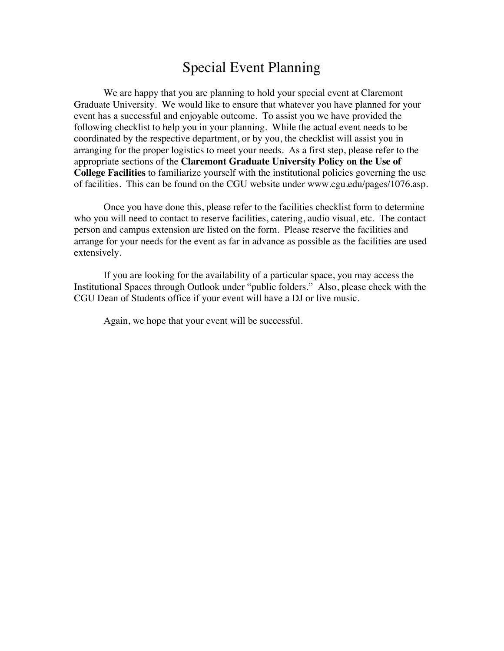## Special Event Planning

We are happy that you are planning to hold your special event at Claremont Graduate University. We would like to ensure that whatever you have planned for your event has a successful and enjoyable outcome. To assist you we have provided the following checklist to help you in your planning. While the actual event needs to be coordinated by the respective department, or by you, the checklist will assist you in arranging for the proper logistics to meet your needs. As a first step, please refer to the appropriate sections of the **Claremont Graduate University Policy on the Use of College Facilities** to familiarize yourself with the institutional policies governing the use of facilities. This can be found on the CGU website under www.cgu.edu/pages/1076.asp.

Once you have done this, please refer to the facilities checklist form to determine who you will need to contact to reserve facilities, catering, audio visual, etc. The contact person and campus extension are listed on the form. Please reserve the facilities and arrange for your needs for the event as far in advance as possible as the facilities are used extensively.

If you are looking for the availability of a particular space, you may access the Institutional Spaces through Outlook under "public folders." Also, please check with the CGU Dean of Students office if your event will have a DJ or live music.

Again, we hope that your event will be successful.